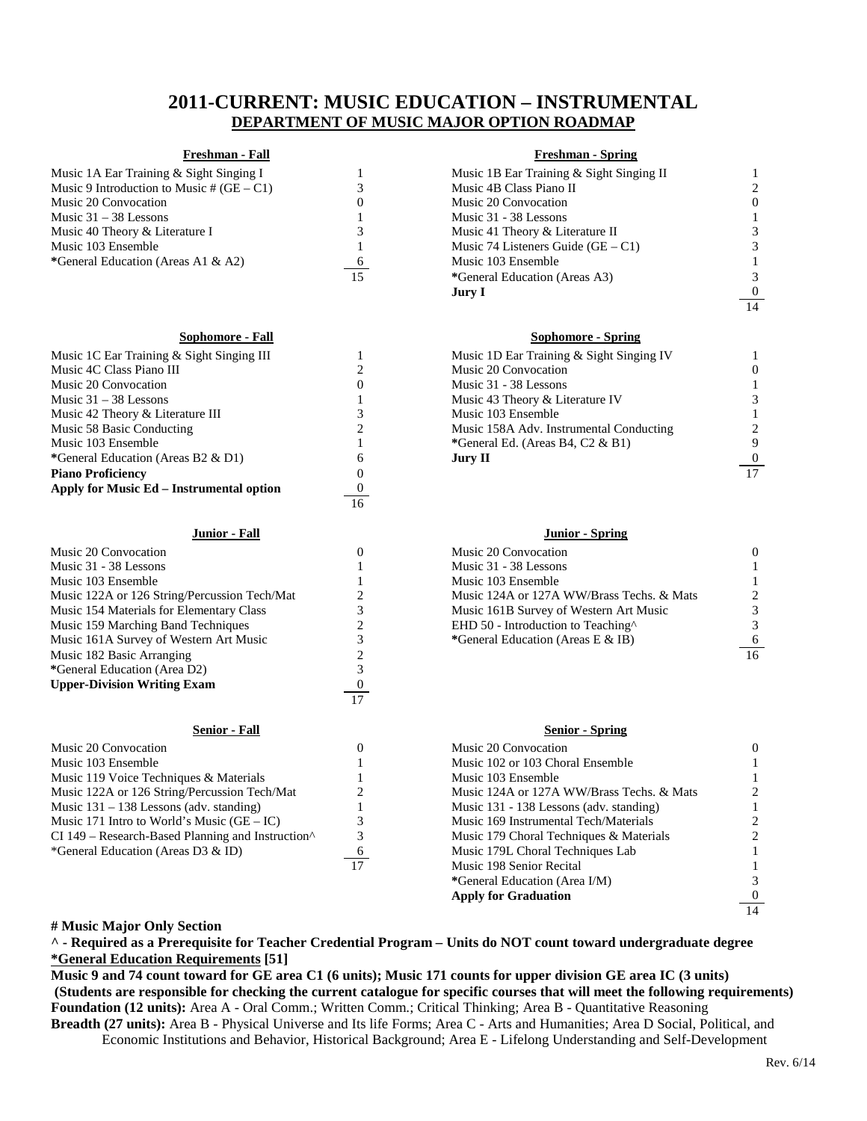# **2011-CURRENT: MUSIC EDUCATION – INSTRUMENTAL DEPARTMENT OF MUSIC MAJOR OPTION ROADMAP**

### **Freshman - Fall Freshman - Spring**

| Music 1A Ear Training & Sight Singing I     |
|---------------------------------------------|
| Music 9 Introduction to Music # $(GE - C1)$ |
| Music 20 Convocation                        |
| Music $31 - 38$ Lessons                     |
| Music 40 Theory & Literature I              |
| Music 103 Ensemble                          |
| *General Education (Areas A1 & A2)          |
|                                             |

| Music 1C Ear Training & Sight Singing III |          | Music 1D Ear Training & Sight Singing IV |                 |
|-------------------------------------------|----------|------------------------------------------|-----------------|
| Music 4C Class Piano III                  |          | Music 20 Convocation                     |                 |
| Music 20 Convocation                      |          | Music 31 - 38 Lessons                    |                 |
| Music $31 - 38$ Lessons                   |          | Music 43 Theory & Literature IV          |                 |
| Music 42 Theory & Literature III          |          | Music 103 Ensemble                       |                 |
| Music 58 Basic Conducting                 |          | Music 158A Adv. Instrumental Conducting  |                 |
| Music 103 Ensemble                        |          | *General Ed. (Areas B4, $C2 \& B1$ )     |                 |
| *General Education (Areas B2 & D1)        | 6        | Jury II                                  | $\mathbf{0}$    |
| <b>Piano Proficiency</b>                  |          |                                          | $\overline{17}$ |
| Apply for Music Ed – Instrumental option  | $\theta$ |                                          |                 |
|                                           | 16       |                                          |                 |

### **Junior - Fall Junior - Spring**

| Music 20 Convocation                                        |    | Music 20 Convocation                           |    |
|-------------------------------------------------------------|----|------------------------------------------------|----|
| Music 31 - 38 Lessons                                       |    | Music 31 - 38 Lessons                          |    |
| Music 103 Ensemble                                          |    | Music 103 Ensemble                             |    |
| Music 122A or 126 String/Percussion Tech/Mat                |    | Music 124A or 127A WW/Brass Techs, & Mats      |    |
| Music 154 Materials for Elementary Class                    |    | Music 161B Survey of Western Art Music         |    |
| Music 159 Marching Band Techniques                          |    | EHD 50 - Introduction to Teaching <sup>^</sup> |    |
| Music 161A Survey of Western Art Music                      |    | *General Education (Areas E & IB)              | 6  |
| Music 182 Basic Arranging                                   |    |                                                | 16 |
| *General Education (Area D2)                                |    |                                                |    |
| <b>Upper-Division Writing Exam</b>                          |    |                                                |    |
|                                                             | 17 |                                                |    |
| <b>Senior - Fall</b>                                        |    | <b>Senior</b> - Spring                         |    |
| Music 20 Convocation                                        |    | Music 20 Convocation                           |    |
| Music 103 Ensemble                                          |    | Music 102 or 103 Choral Ensemble               |    |
| Music 119 Voice Techniques & Materials                      |    | Music 103 Ensemble                             |    |
| Music 122A or 126 String/Percussion Tech/Mat                |    | Music 124A or 127A WW/Brass Techs. & Mats      |    |
| Music $131 - 138$ Lessons (adv. standing)                   |    | Music 131 - 138 Lessons (adv. standing)        |    |
| Music 171 Intro to World's Music $(GE – IC)$                |    | Music 169 Instrumental Tech/Materials          |    |
| $CI$ 149 – Research-Based Planning and Instruction $\wedge$ |    | Music 179 Choral Techniques & Materials        |    |
| *General Education (Areas D3 & ID)                          |    | Music 179L Choral Techniques Lab               |    |
|                                                             |    | $\sim$ $\sim$ $\sim$ $\sim$ $\sim$             |    |

| Music 1A Ear Training & Sight Singing I     |    | Music 1B Ear Training & Sight Singing II |          |
|---------------------------------------------|----|------------------------------------------|----------|
| Music 9 Introduction to Music # $(GE - C1)$ |    | Music 4B Class Piano II                  |          |
| Music 20 Convocation                        | U  | Music 20 Convocation                     | $\theta$ |
| Music 31 – 38 Lessons                       |    | Music 31 - 38 Lessons                    |          |
| Music 40 Theory & Literature I              |    | Music 41 Theory & Literature II          |          |
| Music 103 Ensemble                          |    | Music 74 Listeners Guide $(GE - C1)$     |          |
| *General Education (Areas A1 & A2)          | -6 | Music 103 Ensemble                       |          |
|                                             | 15 | *General Education (Areas A3)            |          |
|                                             |    | Jury I                                   | $\bf{0}$ |
|                                             |    |                                          | 14       |

## **Sophomore - Fall Sophomore - Spring**

| Music 1D Ear Training & Sight Singing IV |    |
|------------------------------------------|----|
| Music 20 Convocation                     |    |
| Music 31 - 38 Lessons                    |    |
| Music 43 Theory & Literature IV          |    |
| Music 103 Ensemble                       |    |
| Music 158A Adv. Instrumental Conducting  | 2. |
| *General Ed. (Areas B4, C2 & B1)         | 9  |
| Jurv II                                  |    |
|                                          |    |

| Music 20 Convocation                           | $\mathbf{0}$                  |
|------------------------------------------------|-------------------------------|
| Music 31 - 38 Lessons                          | 1                             |
| Music 103 Ensemble                             | 1                             |
| Music 124A or 127A WW/Brass Techs. & Mats      | $\mathfrak{D}_{\mathfrak{p}}$ |
| Music 161B Survey of Western Art Music         | 3                             |
| EHD 50 - Introduction to Teaching <sup>^</sup> | 3                             |
| *General Education (Areas E & IB)              | 6                             |
|                                                |                               |

### **Senior - Fall Senior - Spring**

|    | Music 20 Convocation                      |  |
|----|-------------------------------------------|--|
|    | Music 102 or 103 Choral Ensemble          |  |
|    | Music 103 Ensemble                        |  |
|    | Music 124A or 127A WW/Brass Techs. & Mats |  |
|    | Music 131 - 138 Lessons (adv. standing)   |  |
|    | Music 169 Instrumental Tech/Materials     |  |
|    | Music 179 Choral Techniques & Materials   |  |
| 6  | Music 179L Choral Techniques Lab          |  |
| 17 | Music 198 Senior Recital                  |  |
|    | *General Education (Area I/M)             |  |
|    | <b>Apply for Graduation</b>               |  |
|    |                                           |  |

### **# Music Major Only Section**

**^ - Required as a Prerequisite for Teacher Credential Program – Units do NOT count toward undergraduate degree \*General Education Requirements [51]**

**Music 9 and 74 count toward for GE area C1 (6 units); Music 171 counts for upper division GE area IC (3 units) (Students are responsible for checking the current catalogue for specific courses that will meet the following requirements) Foundation (12 units):** Area A - Oral Comm.; Written Comm.; Critical Thinking; Area B - Quantitative Reasoning **Breadth (27 units):** Area B - Physical Universe and Its life Forms; Area C - Arts and Humanities; Area D Social, Political, and

Economic Institutions and Behavior, Historical Background; Area E - Lifelong Understanding and Self-Development